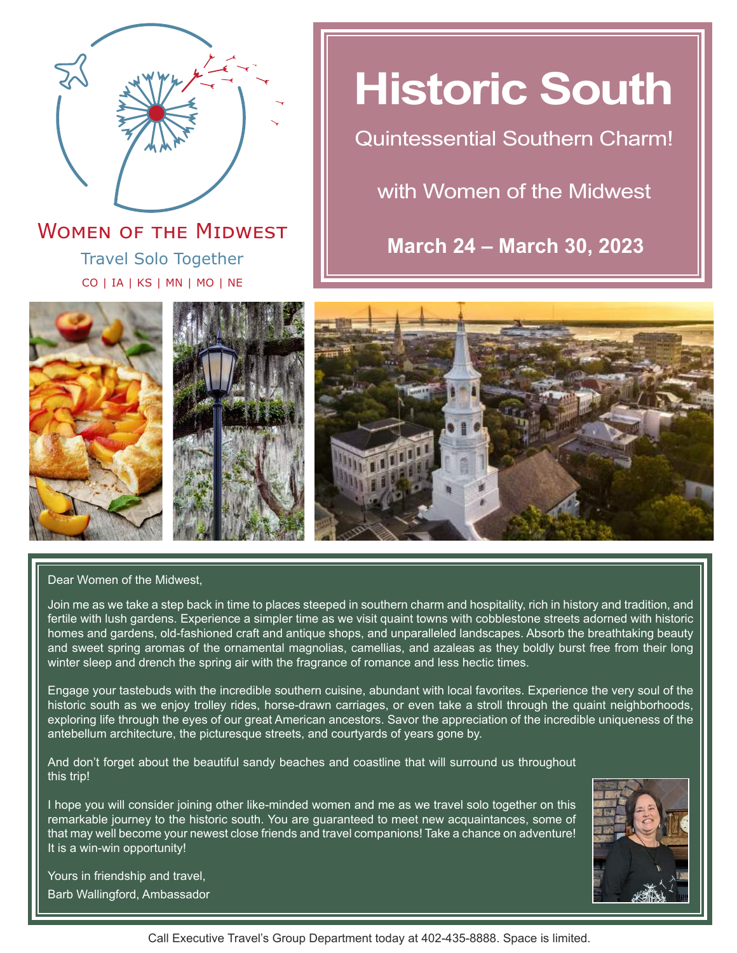

Travel Solo Together CO | IA | KS | MN | MO | NE **WOMEN OF THE MIDWEST** 

# **Historic South**

Quintessential Southern Charm!

with Women of the Midwest

**March 24 – March 30, 2023**







Dear Women of the Midwest,

Join me as we take a step back in time to places steeped in southern charm and hospitality, rich in history and tradition, and fertile with lush gardens. Experience a simpler time as we visit quaint towns with cobblestone streets adorned with historic homes and gardens, old-fashioned craft and antique shops, and unparalleled landscapes. Absorb the breathtaking beauty and sweet spring aromas of the ornamental magnolias, camellias, and azaleas as they boldly burst free from their long winter sleep and drench the spring air with the fragrance of romance and less hectic times.

Engage your tastebuds with the incredible southern cuisine, abundant with local favorites. Experience the very soul of the historic south as we enjoy trolley rides, horse-drawn carriages, or even take a stroll through the quaint neighborhoods, exploring life through the eyes of our great American ancestors. Savor the appreciation of the incredible uniqueness of the antebellum architecture, the picturesque streets, and courtyards of years gone by.

And don't forget about the beautiful sandy beaches and coastline that will surround us throughout this trip!

I hope you will consider joining other like-minded women and me as we travel solo together on this remarkable journey to the historic south. You are guaranteed to meet new acquaintances, some of that may well become your newest close friends and travel companions! Take a chance on adventure! It is a win-win opportunity!



Yours in friendship and travel, Barb Wallingford, Ambassador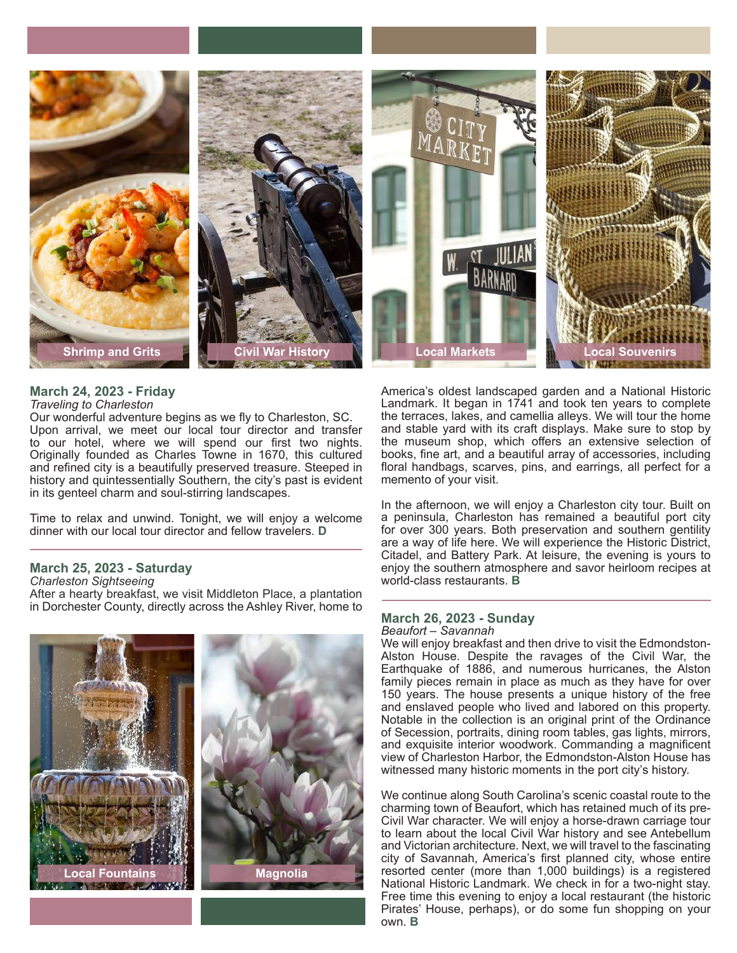

#### **March 24, 2023 - Friday** *Traveling to Charleston*

Our wonderful adventure begins as we fly to Charleston, SC. Upon arrival, we meet our local tour director and transfer to our hotel, where we will spend our first two nights. Originally founded as Charles Towne in 1670, this cultured and refined city is a beautifully preserved treasure. Steeped in history and quintessentially Southern, the city's past is evident in its genteel charm and soul-stirring landscapes.

Time to relax and unwind. Tonight, we will enjoy a welcome dinner with our local tour director and fellow travelers. **D**

### **March 25, 2023 - Saturday**

*Charleston Sightseeing*

After a hearty breakfast, we visit Middleton Place, a plantation in Dorchester County, directly across the Ashley River, home to



America's oldest landscaped garden and a National Historic Landmark. It began in 1741 and took ten years to complete the terraces, lakes, and camellia alleys. We will tour the home and stable yard with its craft displays. Make sure to stop by the museum shop, which offers an extensive selection of books, fine art, and a beautiful array of accessories, including floral handbags, scarves, pins, and earrings, all perfect for a memento of your visit.

In the afternoon, we will enjoy a Charleston city tour. Built on a peninsula, Charleston has remained a beautiful port city for over 300 years. Both preservation and southern gentility are a way of life here. We will experience the Historic District, Citadel, and Battery Park. At leisure, the evening is yours to enjoy the southern atmosphere and savor heirloom recipes at world-class restaurants. **B**

#### **March 26, 2023 - Sunday** *Beaufort – Savannah*

We will enjoy breakfast and then drive to visit the Edmondston-Alston House. Despite the ravages of the Civil War, the Earthquake of 1886, and numerous hurricanes, the Alston family pieces remain in place as much as they have for over 150 years. The house presents a unique history of the free and enslaved people who lived and labored on this property. Notable in the collection is an original print of the Ordinance of Secession, portraits, dining room tables, gas lights, mirrors, and exquisite interior woodwork. Commanding a magnificent view of Charleston Harbor, the Edmondston-Alston House has witnessed many historic moments in the port city's history.

We continue along South Carolina's scenic coastal route to the charming town of Beaufort, which has retained much of its pre-Civil War character. We will enjoy a horse-drawn carriage tour to learn about the local Civil War history and see Antebellum and Victorian architecture. Next, we will travel to the fascinating city of Savannah, America's first planned city, whose entire resorted center (more than 1,000 buildings) is a registered National Historic Landmark. We check in for a two-night stay. Free time this evening to enjoy a local restaurant (the historic Pirates' House, perhaps), or do some fun shopping on your own. **B**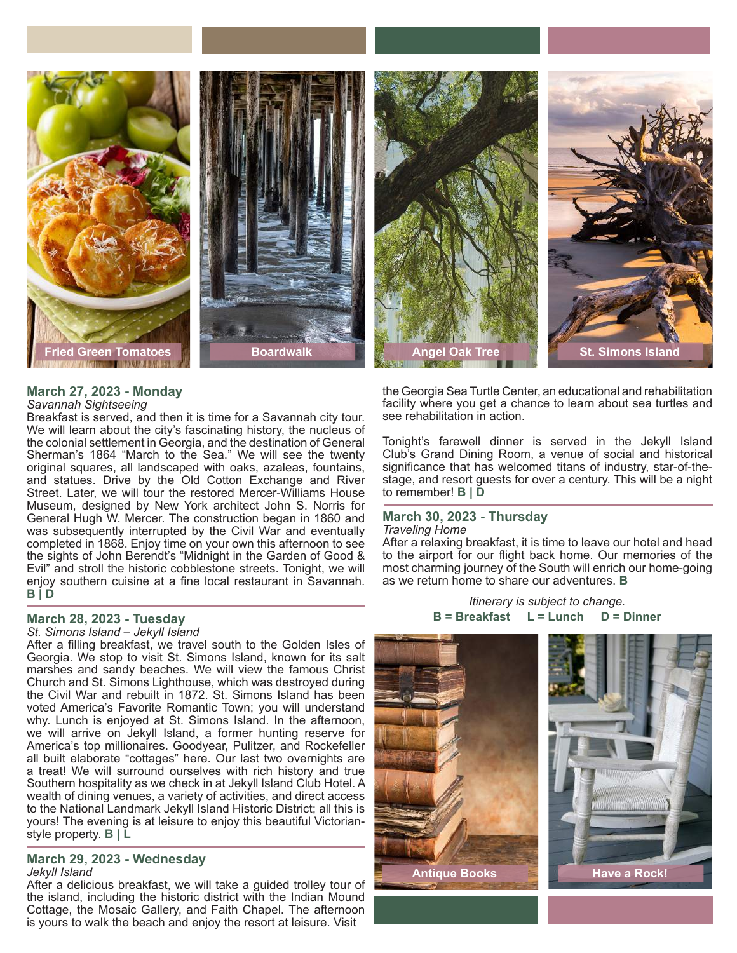

# **March 27, 2023 - Monday**

#### *Savannah Sightseeing*

Breakfast is served, and then it is time for a Savannah city tour. We will learn about the city's fascinating history, the nucleus of the colonial settlement in Georgia, and the destination of General Sherman's 1864 "March to the Sea." We will see the twenty original squares, all landscaped with oaks, azaleas, fountains, and statues. Drive by the Old Cotton Exchange and River Street. Later, we will tour the restored Mercer-Williams House Museum, designed by New York architect John S. Norris for General Hugh W. Mercer. The construction began in 1860 and was subsequently interrupted by the Civil War and eventually completed in 1868. Enjoy time on your own this afternoon to see the sights of John Berendt's "Midnight in the Garden of Good & Evil" and stroll the historic cobblestone streets. Tonight, we will enjoy southern cuisine at a fine local restaurant in Savannah. **B | D**

### **March 28, 2023 - Tuesday**

*St. Simons Island – Jekyll Island*

After a filling breakfast, we travel south to the Golden Isles of Georgia. We stop to visit St. Simons Island, known for its salt marshes and sandy beaches. We will view the famous Christ Church and St. Simons Lighthouse, which was destroyed during the Civil War and rebuilt in 1872. St. Simons Island has been voted America's Favorite Romantic Town; you will understand why. Lunch is enjoyed at St. Simons Island. In the afternoon, we will arrive on Jekyll Island, a former hunting reserve for America's top millionaires. Goodyear, Pulitzer, and Rockefeller all built elaborate "cottages" here. Our last two overnights are a treat! We will surround ourselves with rich history and true Southern hospitality as we check in at Jekyll Island Club Hotel. A wealth of dining venues, a variety of activities, and direct access to the National Landmark Jekyll Island Historic District; all this is yours! The evening is at leisure to enjoy this beautiful Victorianstyle property. **B | L**

#### **March 29, 2023 - Wednesday** *Jekyll Island*

After a delicious breakfast, we will take a guided trolley tour of the island, including the historic district with the Indian Mound Cottage, the Mosaic Gallery, and Faith Chapel. The afternoon is yours to walk the beach and enjoy the resort at leisure. Visit

the Georgia Sea Turtle Center, an educational and rehabilitation facility where you get a chance to learn about sea turtles and see rehabilitation in action.

Tonight's farewell dinner is served in the Jekyll Island Club's Grand Dining Room, a venue of social and historical significance that has welcomed titans of industry, star-of-thestage, and resort guests for over a century. This will be a night to remember! **B | D**

#### **March 30, 2023 - Thursday** *Traveling Home*

After a relaxing breakfast, it is time to leave our hotel and head to the airport for our flight back home. Our memories of the most charming journey of the South will enrich our home-going as we return home to share our adventures. **B**

> *Itinerary is subject to change.* **B = Breakfast L = Lunch D = Dinner**

**Antique Books Have a Rock!**